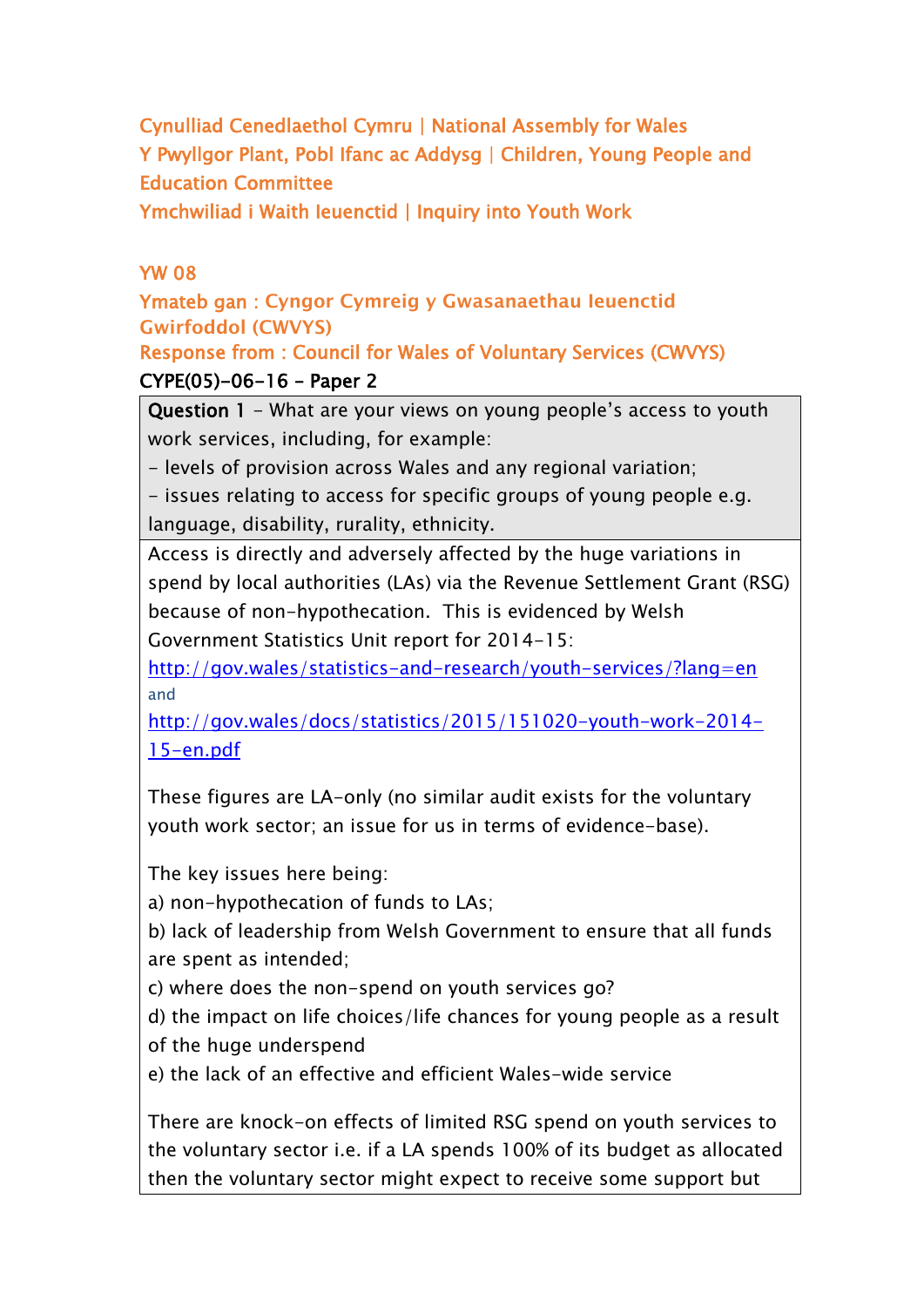**Cynulliad Cenedlaethol Cymru | National Assembly for Wales Y Pwyllgor Plant, Pobl Ifanc ac Addysg | Children, Young People and Education Committee**

**Ymchwiliad i Waith Ieuenctid | Inquiry into Youth Work**

### **YW 08**

**Ymateb gan : Cyngor Cymreig y Gwasanaethau Ieuenctid Gwirfoddol (CWVYS)**

**Response from : Council for Wales of Voluntary Services (CWVYS) CYPE(05)-06-16 – Paper 2**

**Question 1** - What are your views on young people's access to youth work services, including, for example:

- levels of provision across Wales and any regional variation;

- issues relating to access for specific groups of young people e.g. language, disability, rurality, ethnicity.

Access is directly and adversely affected by the huge variations in spend by local authorities (LAs) via the Revenue Settlement Grant (RSG) because of non-hypothecation. This is evidenced by Welsh Government Statistics Unit report for 2014-15:

<http://gov.wales/statistics-and-research/youth-services/?lang=en> and

[http://gov.wales/docs/statistics/2015/151020-youth-work-2014-](http://gov.wales/docs/statistics/2015/151020-youth-work-2014-15-en.pdf) [15-en.pdf](http://gov.wales/docs/statistics/2015/151020-youth-work-2014-15-en.pdf)

These figures are LA-only (no similar audit exists for the voluntary youth work sector; an issue for us in terms of evidence-base).

The key issues here being:

a) non-hypothecation of funds to LAs;

b) lack of leadership from Welsh Government to ensure that all funds are spent as intended;

c) where does the non-spend on youth services go?

d) the impact on life choices/life chances for young people as a result of the huge underspend

e) the lack of an effective and efficient Wales-wide service

There are knock-on effects of limited RSG spend on youth services to the voluntary sector i.e. if a LA spends 100% of its budget as allocated then the voluntary sector might expect to receive some support but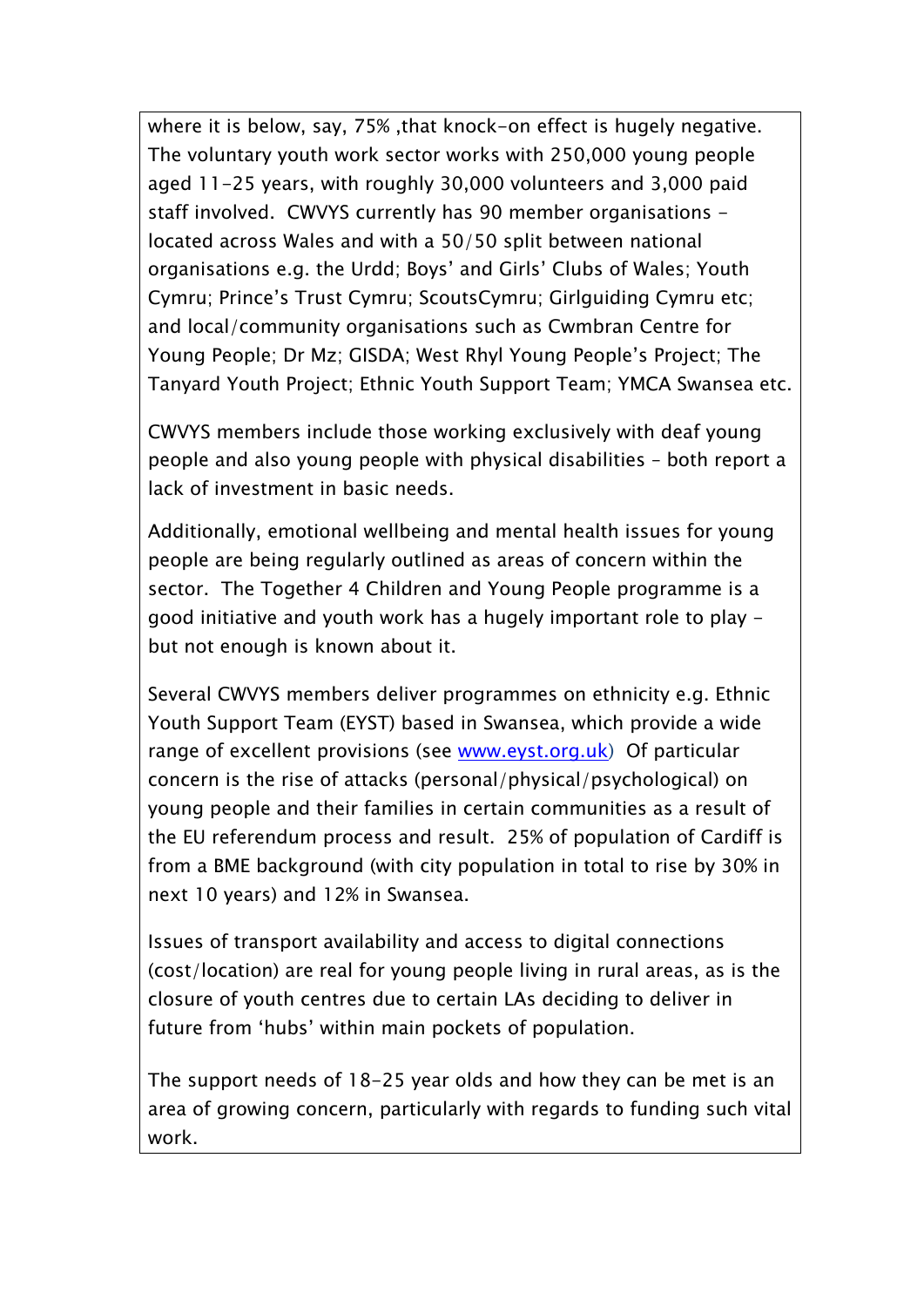where it is below, say, 75% ,that knock-on effect is hugely negative. The voluntary youth work sector works with 250,000 young people aged 11-25 years, with roughly 30,000 volunteers and 3,000 paid staff involved. CWVYS currently has 90 member organisations located across Wales and with a 50/50 split between national organisations e.g. the Urdd; Boys' and Girls' Clubs of Wales; Youth Cymru; Prince's Trust Cymru; ScoutsCymru; Girlguiding Cymru etc; and local/community organisations such as Cwmbran Centre for Young People; Dr Mz; GISDA; West Rhyl Young People's Project; The Tanyard Youth Project; Ethnic Youth Support Team; YMCA Swansea etc.

CWVYS members include those working exclusively with deaf young people and also young people with physical disabilities – both report a lack of investment in basic needs.

Additionally, emotional wellbeing and mental health issues for young people are being regularly outlined as areas of concern within the sector. The Together 4 Children and Young People programme is a good initiative and youth work has a hugely important role to play but not enough is known about it.

Several CWVYS members deliver programmes on ethnicity e.g. Ethnic Youth Support Team (EYST) based in Swansea, which provide a wide range of excellent provisions (see [www.eyst.org.uk](http://www.eyst.org.uk/)) Of particular concern is the rise of attacks (personal/physical/psychological) on young people and their families in certain communities as a result of the EU referendum process and result. 25% of population of Cardiff is from a BME background (with city population in total to rise by 30% in next 10 years) and 12% in Swansea.

Issues of transport availability and access to digital connections (cost/location) are real for young people living in rural areas, as is the closure of youth centres due to certain LAs deciding to deliver in future from 'hubs' within main pockets of population.

The support needs of 18-25 year olds and how they can be met is an area of growing concern, particularly with regards to funding such vital work.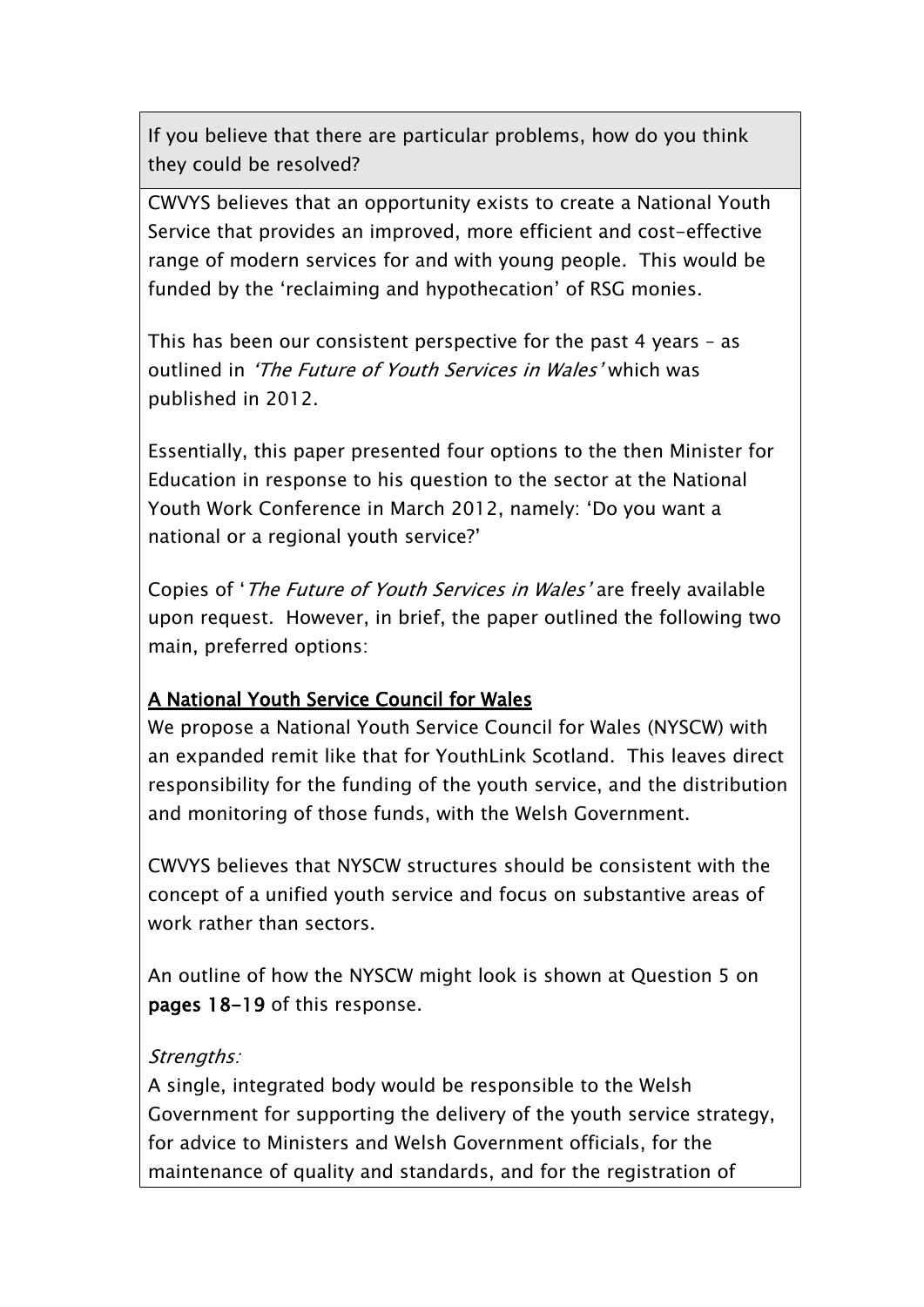If you believe that there are particular problems, how do you think they could be resolved?

CWVYS believes that an opportunity exists to create a National Youth Service that provides an improved, more efficient and cost-effective range of modern services for and with young people. This would be funded by the 'reclaiming and hypothecation' of RSG monies.

This has been our consistent perspective for the past 4 years – as outlined in *'The Future of Youth Services in Wales'* which was published in 2012.

Essentially, this paper presented four options to the then Minister for Education in response to his question to the sector at the National Youth Work Conference in March 2012, namely: 'Do you want a national or a regional youth service?'

Copies of '*The Future of Youth Services in Wales'* are freely available upon request. However, in brief, the paper outlined the following two main, preferred options:

### **A National Youth Service Council for Wales**

We propose a National Youth Service Council for Wales (NYSCW) with an expanded remit like that for YouthLink Scotland. This leaves direct responsibility for the funding of the youth service, and the distribution and monitoring of those funds, with the Welsh Government.

CWVYS believes that NYSCW structures should be consistent with the concept of a unified youth service and focus on substantive areas of work rather than sectors.

An outline of how the NYSCW might look is shown at Question 5 on **pages 18-19** of this response.

#### *Strengths:*

A single, integrated body would be responsible to the Welsh Government for supporting the delivery of the youth service strategy, for advice to Ministers and Welsh Government officials, for the maintenance of quality and standards, and for the registration of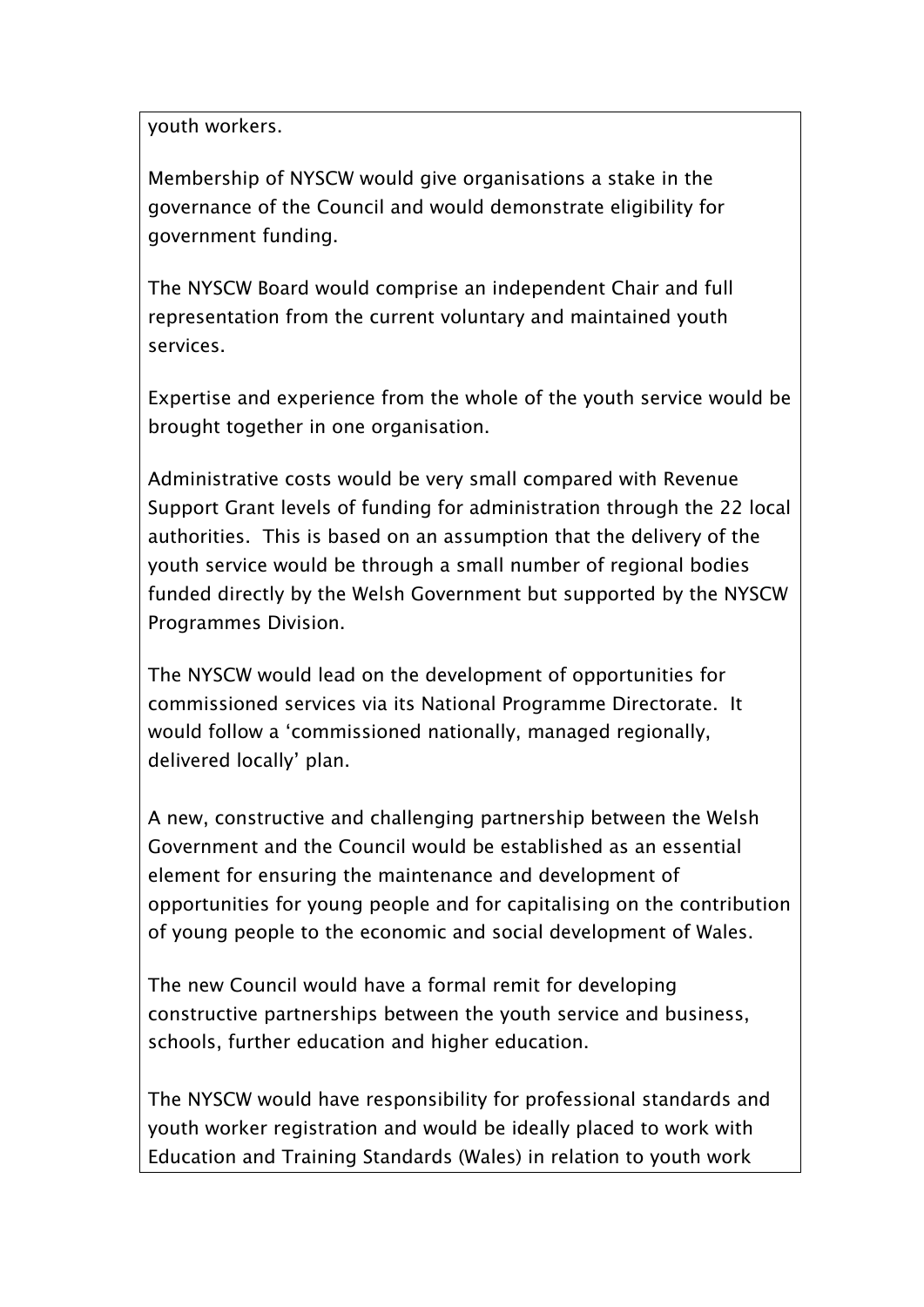youth workers.

Membership of NYSCW would give organisations a stake in the governance of the Council and would demonstrate eligibility for government funding.

The NYSCW Board would comprise an independent Chair and full representation from the current voluntary and maintained youth services.

Expertise and experience from the whole of the youth service would be brought together in one organisation.

Administrative costs would be very small compared with Revenue Support Grant levels of funding for administration through the 22 local authorities. This is based on an assumption that the delivery of the youth service would be through a small number of regional bodies funded directly by the Welsh Government but supported by the NYSCW Programmes Division.

The NYSCW would lead on the development of opportunities for commissioned services via its National Programme Directorate. It would follow a 'commissioned nationally, managed regionally, delivered locally' plan.

A new, constructive and challenging partnership between the Welsh Government and the Council would be established as an essential element for ensuring the maintenance and development of opportunities for young people and for capitalising on the contribution of young people to the economic and social development of Wales.

The new Council would have a formal remit for developing constructive partnerships between the youth service and business, schools, further education and higher education.

The NYSCW would have responsibility for professional standards and youth worker registration and would be ideally placed to work with Education and Training Standards (Wales) in relation to youth work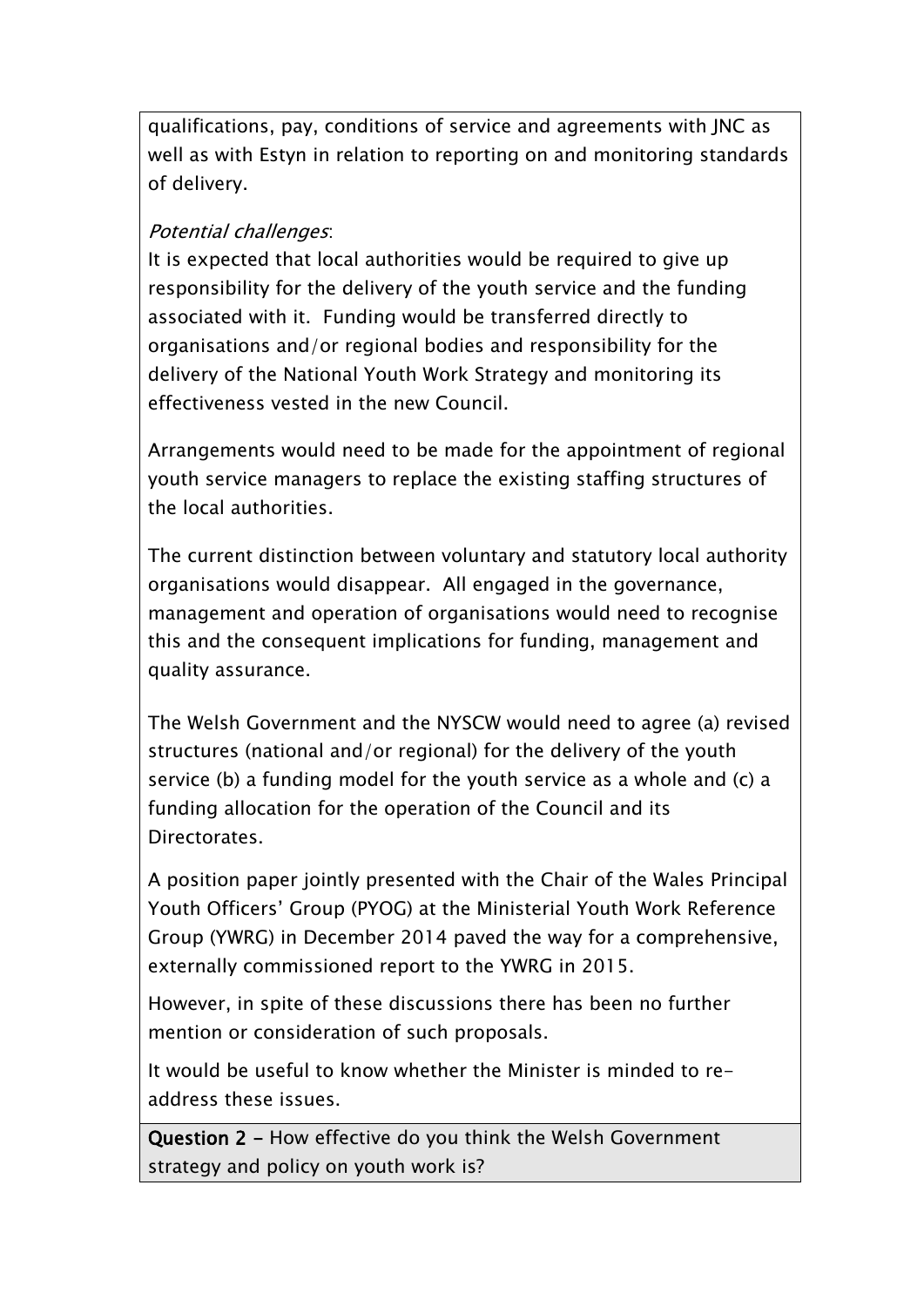qualifications, pay, conditions of service and agreements with JNC as well as with Estyn in relation to reporting on and monitoring standards of delivery.

# *Potential challenges*:

It is expected that local authorities would be required to give up responsibility for the delivery of the youth service and the funding associated with it. Funding would be transferred directly to organisations and/or regional bodies and responsibility for the delivery of the National Youth Work Strategy and monitoring its effectiveness vested in the new Council.

Arrangements would need to be made for the appointment of regional youth service managers to replace the existing staffing structures of the local authorities.

The current distinction between voluntary and statutory local authority organisations would disappear. All engaged in the governance, management and operation of organisations would need to recognise this and the consequent implications for funding, management and quality assurance.

The Welsh Government and the NYSCW would need to agree (a) revised structures (national and/or regional) for the delivery of the youth service (b) a funding model for the youth service as a whole and (c) a funding allocation for the operation of the Council and its Directorates.

A position paper jointly presented with the Chair of the Wales Principal Youth Officers' Group (PYOG) at the Ministerial Youth Work Reference Group (YWRG) in December 2014 paved the way for a comprehensive, externally commissioned report to the YWRG in 2015.

However, in spite of these discussions there has been no further mention or consideration of such proposals.

It would be useful to know whether the Minister is minded to readdress these issues.

**Question 2 -** How effective do you think the Welsh Government strategy and policy on youth work is?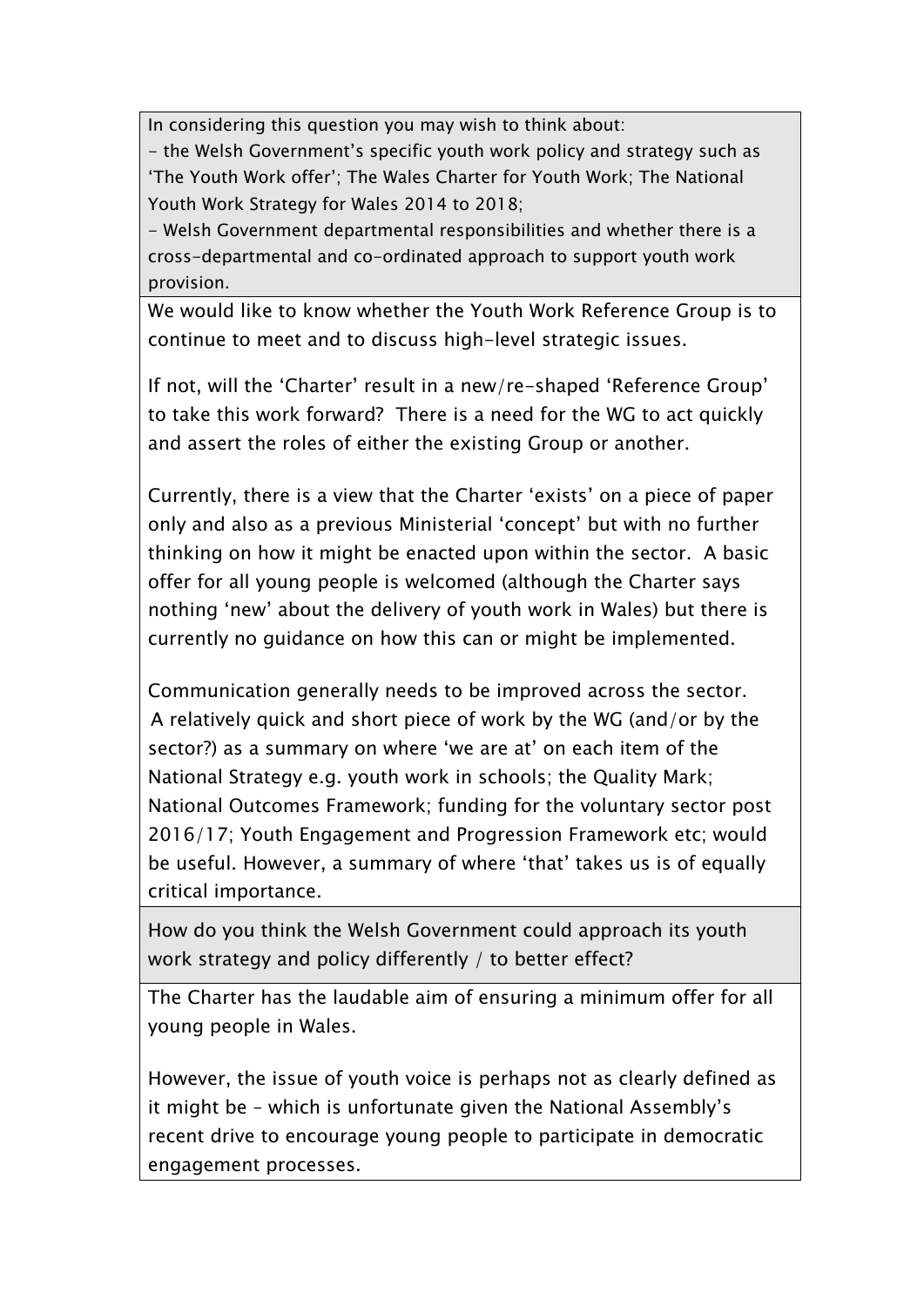In considering this question you may wish to think about:

- the Welsh Government's specific youth work policy and strategy such as 'The Youth Work offer'; The Wales Charter for Youth Work; The National Youth Work Strategy for Wales 2014 to 2018;

- Welsh Government departmental responsibilities and whether there is a cross-departmental and co-ordinated approach to support youth work provision.

We would like to know whether the Youth Work Reference Group is to continue to meet and to discuss high-level strategic issues.

If not, will the 'Charter' result in a new/re-shaped 'Reference Group' to take this work forward? There is a need for the WG to act quickly and assert the roles of either the existing Group or another.

Currently, there is a view that the Charter 'exists' on a piece of paper only and also as a previous Ministerial 'concept' but with no further thinking on how it might be enacted upon within the sector. A basic offer for all young people is welcomed (although the Charter says nothing 'new' about the delivery of youth work in Wales) but there is currently no guidance on how this can or might be implemented.

Communication generally needs to be improved across the sector. A relatively quick and short piece of work by the WG (and/or by the sector?) as a summary on where 'we are at' on each item of the National Strategy e.g. youth work in schools; the Quality Mark; National Outcomes Framework; funding for the voluntary sector post 2016/17; Youth Engagement and Progression Framework etc; would be useful. However, a summary of where 'that' takes us is of equally critical importance.

How do you think the Welsh Government could approach its youth work strategy and policy differently / to better effect?

The Charter has the laudable aim of ensuring a minimum offer for all young people in Wales.

However, the issue of youth voice is perhaps not as clearly defined as it might be – which is unfortunate given the National Assembly's recent drive to encourage young people to participate in democratic engagement processes.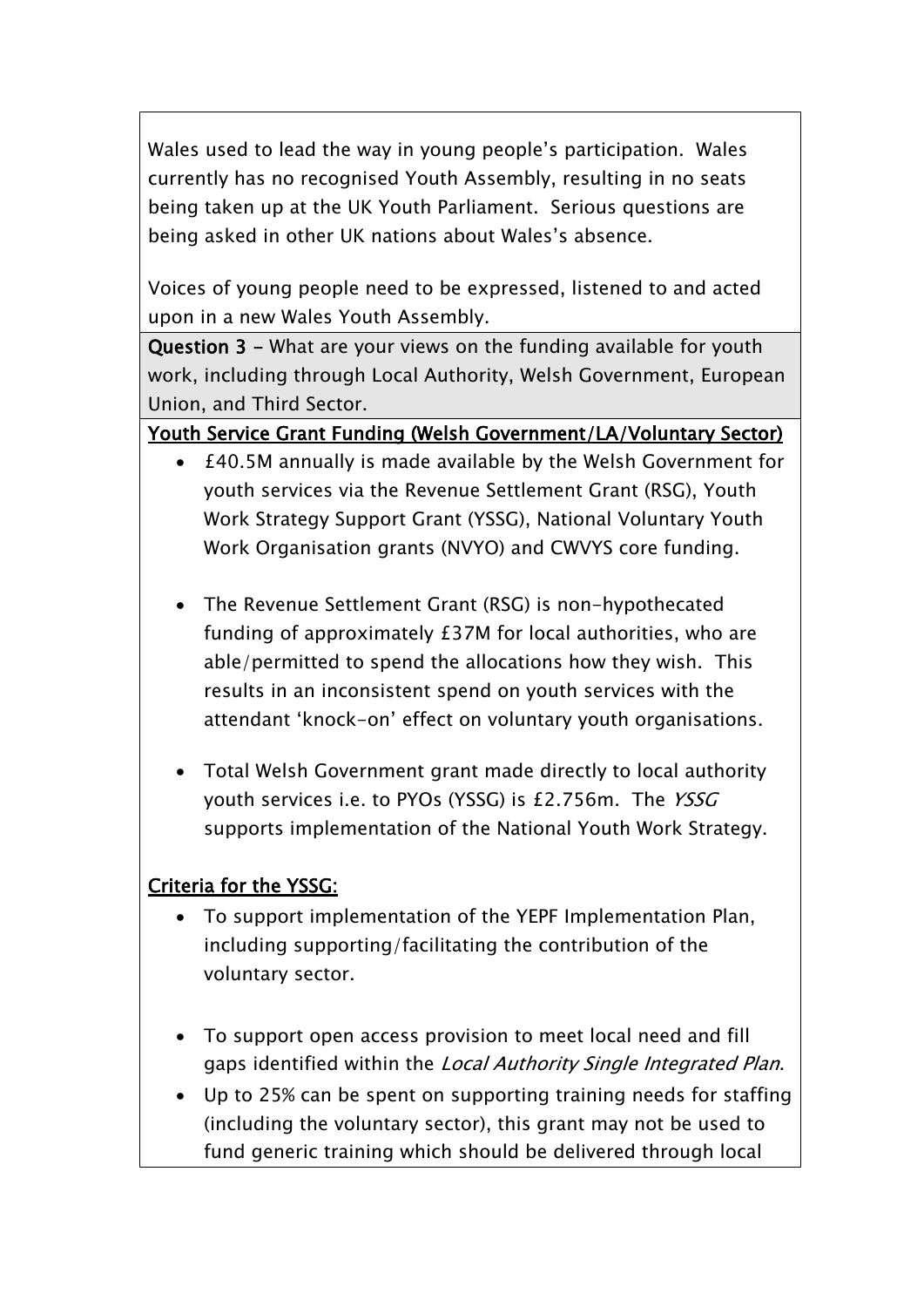Wales used to lead the way in young people's participation. Wales currently has no recognised Youth Assembly, resulting in no seats being taken up at the UK Youth Parliament. Serious questions are being asked in other UK nations about Wales's absence.

Voices of young people need to be expressed, listened to and acted upon in a new Wales Youth Assembly.

**Question 3 -** What are your views on the funding available for youth work, including through Local Authority, Welsh Government, European Union, and Third Sector.

### **Youth Service Grant Funding (Welsh Government/LA/Voluntary Sector)**

- £40.5M annually is made available by the Welsh Government for youth services via the Revenue Settlement Grant (RSG), Youth Work Strategy Support Grant (YSSG), National Voluntary Youth Work Organisation grants (NVYO) and CWVYS core funding.
- The Revenue Settlement Grant (RSG) is non-hypothecated funding of approximately £37M for local authorities, who are able/permitted to spend the allocations how they wish. This results in an inconsistent spend on youth services with the attendant 'knock-on' effect on voluntary youth organisations.
- Total Welsh Government grant made directly to local authority youth services i.e. to PYOs (YSSG) is £2.756m. The *YSSG* supports implementation of the National Youth Work Strategy.

### **Criteria for the YSSG:**

- To support implementation of the YEPF Implementation Plan, including supporting/facilitating the contribution of the voluntary sector.
- To support open access provision to meet local need and fill gaps identified within the *Local Authority Single Integrated Plan*.
- Up to 25% can be spent on supporting training needs for staffing (including the voluntary sector), this grant may not be used to fund generic training which should be delivered through local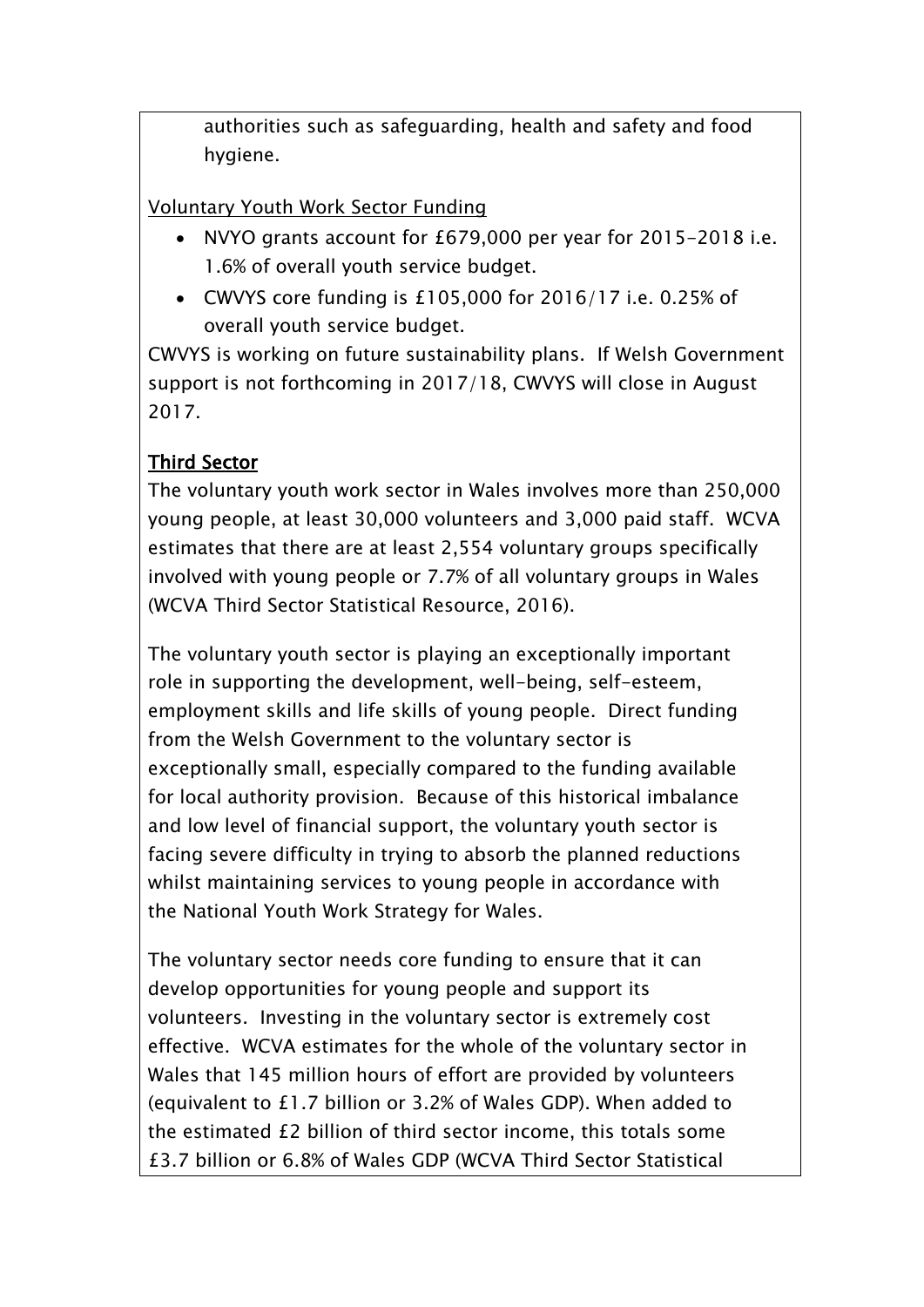authorities such as safeguarding, health and safety and food hygiene.

Voluntary Youth Work Sector Funding

- NVYO grants account for £679,000 per year for 2015-2018 i.e. 1.6% of overall youth service budget.
- CWVYS core funding is £105,000 for 2016/17 i.e. 0.25% of overall youth service budget.

CWVYS is working on future sustainability plans. If Welsh Government support is not forthcoming in 2017/18, CWVYS will close in August 2017.

# **Third Sector**

The voluntary youth work sector in Wales involves more than 250,000 young people, at least 30,000 volunteers and 3,000 paid staff. WCVA estimates that there are at least 2,554 voluntary groups specifically involved with young people or 7.7% of all voluntary groups in Wales (WCVA Third Sector Statistical Resource, 2016).

The voluntary youth sector is playing an exceptionally important role in supporting the development, well-being, self-esteem, employment skills and life skills of young people. Direct funding from the Welsh Government to the voluntary sector is exceptionally small, especially compared to the funding available for local authority provision. Because of this historical imbalance and low level of financial support, the voluntary youth sector is facing severe difficulty in trying to absorb the planned reductions whilst maintaining services to young people in accordance with the National Youth Work Strategy for Wales.

The voluntary sector needs core funding to ensure that it can develop opportunities for young people and support its volunteers. Investing in the voluntary sector is extremely cost effective. WCVA estimates for the whole of the voluntary sector in Wales that 145 million hours of effort are provided by volunteers (equivalent to £1.7 billion or 3.2% of Wales GDP). When added to the estimated £2 billion of third sector income, this totals some £3.7 billion or 6.8% of Wales GDP (WCVA Third Sector Statistical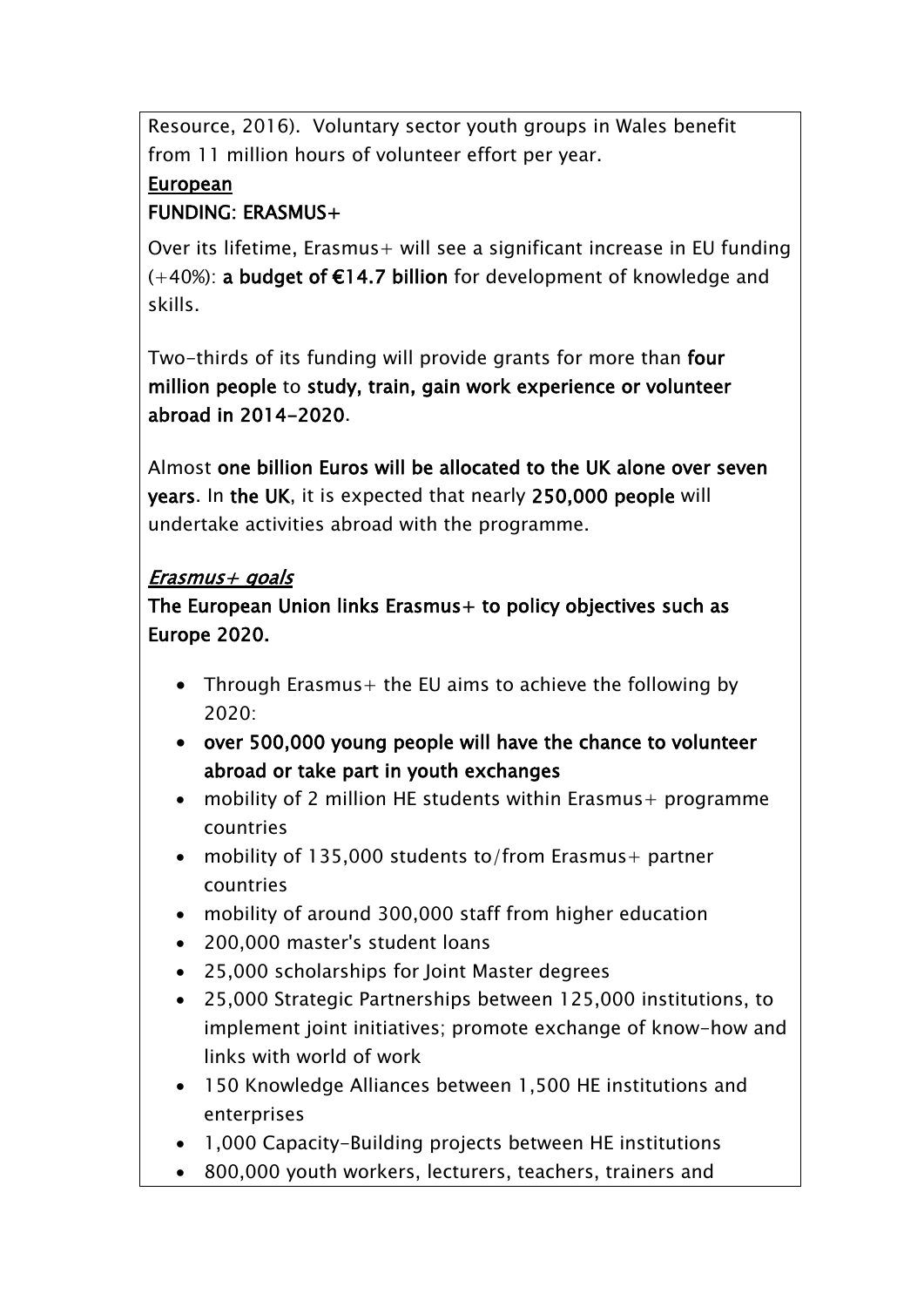Resource, 2016). Voluntary sector youth groups in Wales benefit from 11 million hours of volunteer effort per year.

# **European**

# **FUNDING: ERASMUS+**

Over its lifetime, Erasmus+ will see a significant increase in EU funding (+40%): **a budget of €14.7 billion** for development of knowledge and skills.

Two-thirds of its funding will provide grants for more than **four million people** to **study, train, gain work experience or volunteer abroad in 2014-2020**.

Almost **one billion Euros will be allocated to the UK alone over seven years**. In **the UK**, it is expected that nearly **250,000 people** will undertake activities abroad with the programme.

# *Erasmus+ goals*

**The European Union links Erasmus+ to policy objectives such as Europe 2020.**

- Through Erasmus + the EU aims to achieve the following by 2020:
- **over 500,000 young people will have the chance to volunteer abroad or take part in youth exchanges**
- mobility of 2 million HE students within Erasmus + programme countries
- mobility of 135,000 students to/from Erasmus+ partner countries
- mobility of around 300,000 staff from higher education
- 200,000 master's student loans
- 25,000 scholarships for Joint Master degrees
- 25,000 Strategic Partnerships between 125,000 institutions, to implement joint initiatives; promote exchange of know-how and links with world of work
- 150 Knowledge Alliances between 1,500 HE institutions and enterprises
- 1,000 Capacity-Building projects between HE institutions
- 800,000 youth workers, lecturers, teachers, trainers and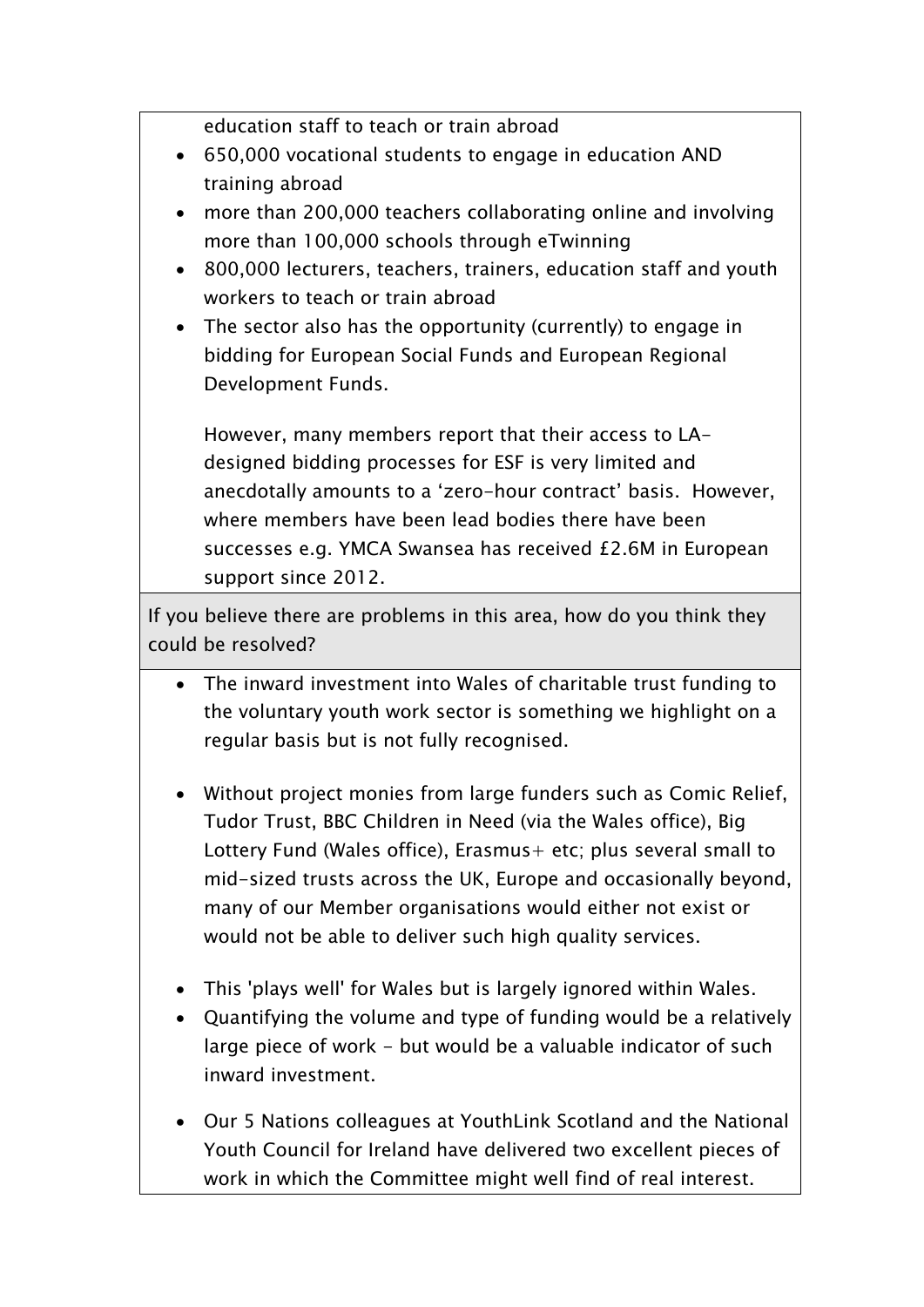education staff to teach or train abroad

- 650,000 vocational students to engage in education AND training abroad
- more than 200,000 teachers collaborating online and involving more than 100,000 schools through eTwinning
- 800,000 lecturers, teachers, trainers, education staff and youth workers to teach or train abroad
- The sector also has the opportunity (currently) to engage in bidding for European Social Funds and European Regional Development Funds.

However, many members report that their access to LAdesigned bidding processes for ESF is very limited and anecdotally amounts to a 'zero-hour contract' basis. However, where members have been lead bodies there have been successes e.g. YMCA Swansea has received £2.6M in European support since 2012.

If you believe there are problems in this area, how do you think they could be resolved?

- The inward investment into Wales of charitable trust funding to the voluntary youth work sector is something we highlight on a regular basis but is not fully recognised.
- Without project monies from large funders such as Comic Relief, Tudor Trust, BBC Children in Need (via the Wales office), Big Lottery Fund (Wales office), Erasmus+ etc; plus several small to mid-sized trusts across the UK, Europe and occasionally beyond, many of our Member organisations would either not exist or would not be able to deliver such high quality services.
- This 'plays well' for Wales but is largely ignored within Wales.
- Quantifying the volume and type of funding would be a relatively large piece of work - but would be a valuable indicator of such inward investment.
- Our 5 Nations colleagues at YouthLink Scotland and the National Youth Council for Ireland have delivered two excellent pieces of work in which the Committee might well find of real interest.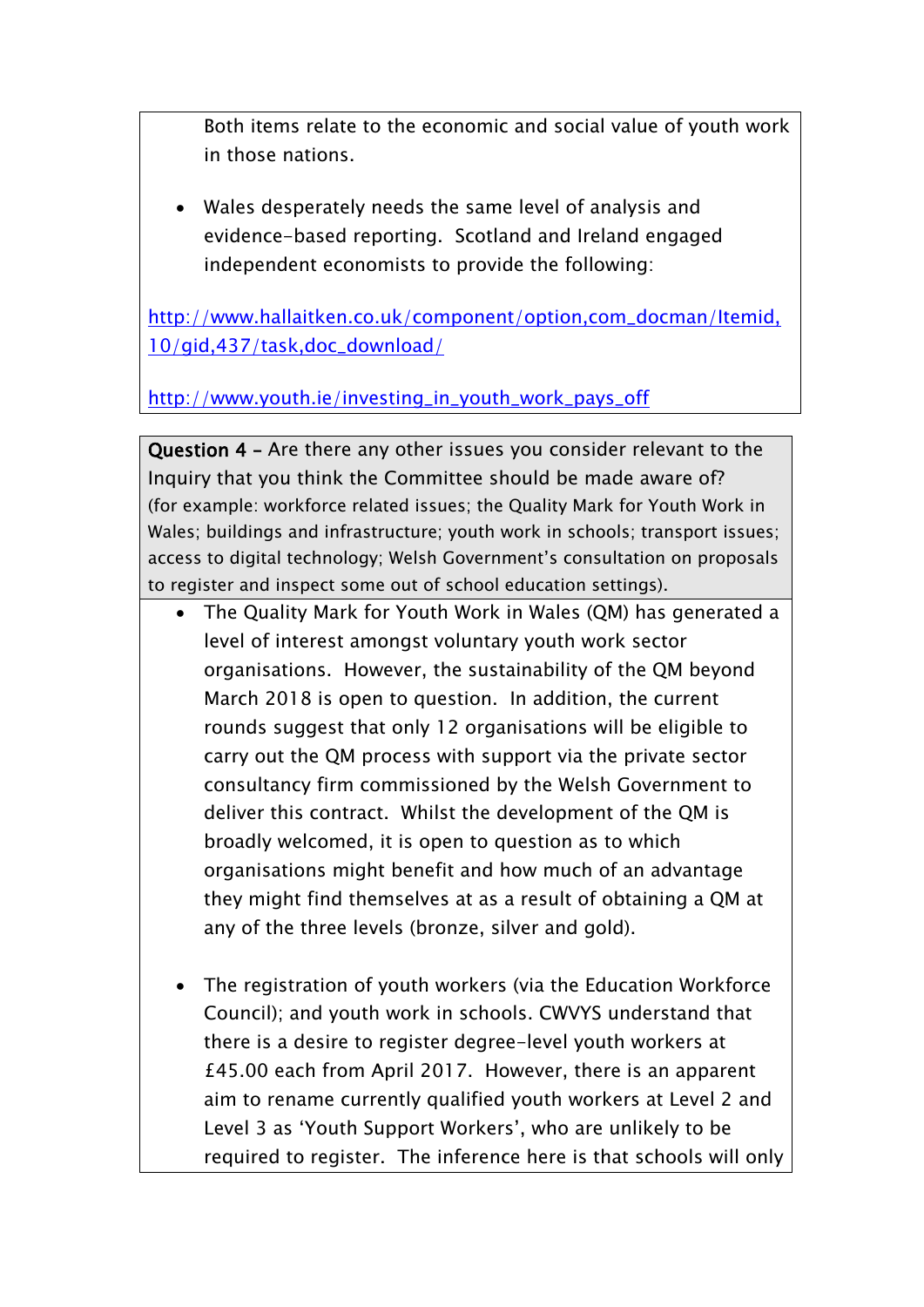Both items relate to the economic and social value of youth work in those nations.

 Wales desperately needs the same level of analysis and evidence-based reporting. Scotland and Ireland engaged independent economists to provide the following:

[http://www.hallaitken.co.uk/component/option,com\\_docman/Itemid,](http://www.hallaitken.co.uk/component/option,com_docman/Itemid,10/gid,437/task,doc_download/) [10/gid,437/task,doc\\_download/](http://www.hallaitken.co.uk/component/option,com_docman/Itemid,10/gid,437/task,doc_download/)

[http://www.youth.ie/investing\\_in\\_youth\\_work\\_pays\\_off](http://www.youth.ie/investing_in_youth_work_pays_off)

**Question 4 –** Are there any other issues you consider relevant to the Inquiry that you think the Committee should be made aware of? (for example: workforce related issues; the Quality Mark for Youth Work in Wales; buildings and infrastructure; youth work in schools; transport issues; access to digital technology; Welsh Government's consultation on proposals to register and inspect some out of school education settings).

- The Quality Mark for Youth Work in Wales (QM) has generated a level of interest amongst voluntary youth work sector organisations. However, the sustainability of the QM beyond March 2018 is open to question. In addition, the current rounds suggest that only 12 organisations will be eligible to carry out the QM process with support via the private sector consultancy firm commissioned by the Welsh Government to deliver this contract. Whilst the development of the QM is broadly welcomed, it is open to question as to which organisations might benefit and how much of an advantage they might find themselves at as a result of obtaining a QM at any of the three levels (bronze, silver and gold).
- The registration of youth workers (via the Education Workforce Council); and youth work in schools. CWVYS understand that there is a desire to register degree-level youth workers at £45.00 each from April 2017. However, there is an apparent aim to rename currently qualified youth workers at Level 2 and Level 3 as 'Youth Support Workers', who are unlikely to be required to register. The inference here is that schools will only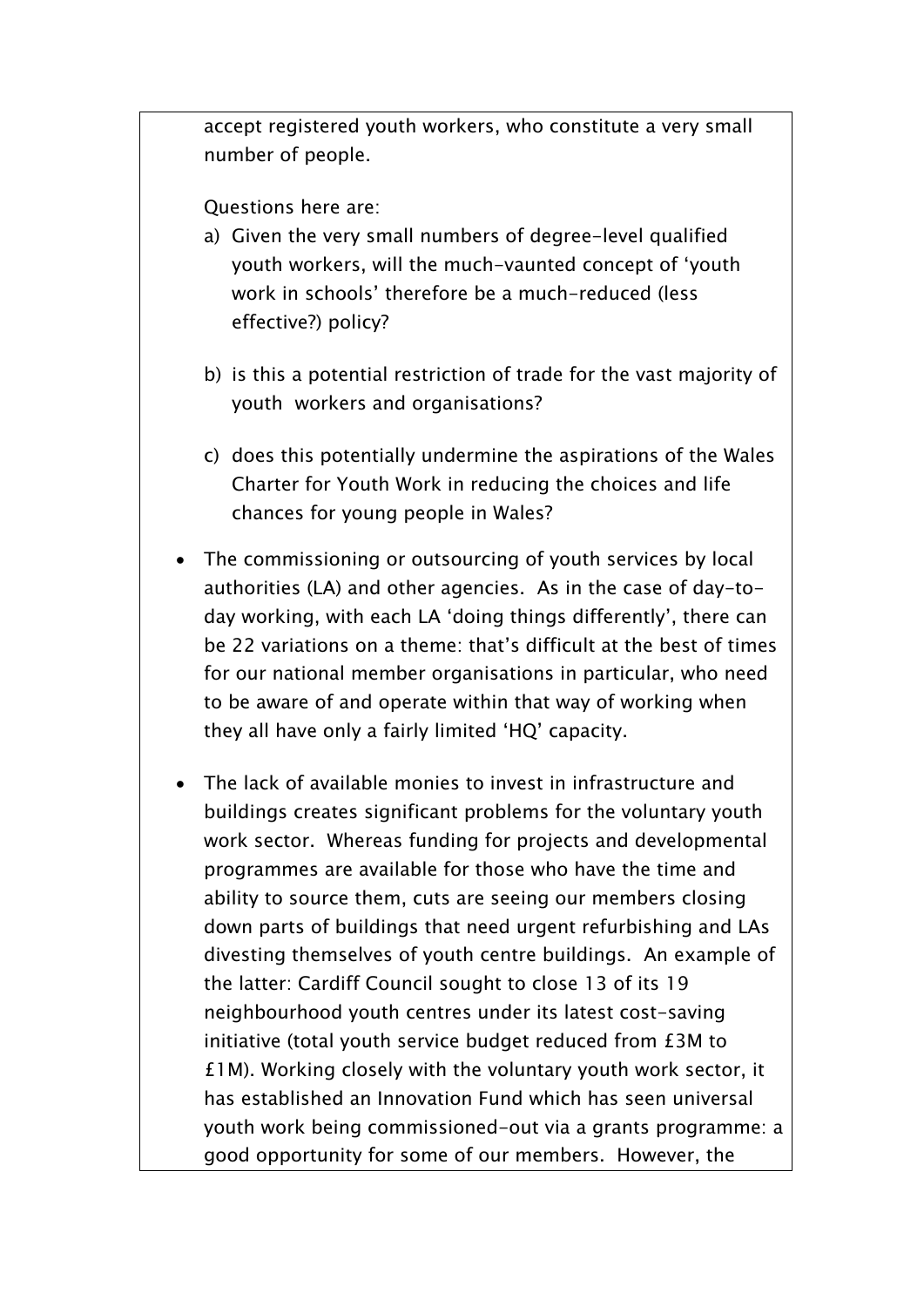accept registered youth workers, who constitute a very small number of people.

Questions here are:

- a) Given the very small numbers of degree-level qualified youth workers, will the much-vaunted concept of 'youth work in schools' therefore be a much-reduced (less effective?) policy?
- b) is this a potential restriction of trade for the vast majority of youth workers and organisations?
- c) does this potentially undermine the aspirations of the Wales Charter for Youth Work in reducing the choices and life chances for young people in Wales?
- The commissioning or outsourcing of youth services by local authorities (LA) and other agencies. As in the case of day-today working, with each LA 'doing things differently', there can be 22 variations on a theme: that's difficult at the best of times for our national member organisations in particular, who need to be aware of and operate within that way of working when they all have only a fairly limited 'HQ' capacity.
- The lack of available monies to invest in infrastructure and buildings creates significant problems for the voluntary youth work sector. Whereas funding for projects and developmental programmes are available for those who have the time and ability to source them, cuts are seeing our members closing down parts of buildings that need urgent refurbishing and LAs divesting themselves of youth centre buildings. An example of the latter: Cardiff Council sought to close 13 of its 19 neighbourhood youth centres under its latest cost-saving initiative (total youth service budget reduced from £3M to £1M). Working closely with the voluntary youth work sector, it has established an Innovation Fund which has seen universal youth work being commissioned-out via a grants programme: a good opportunity for some of our members. However, the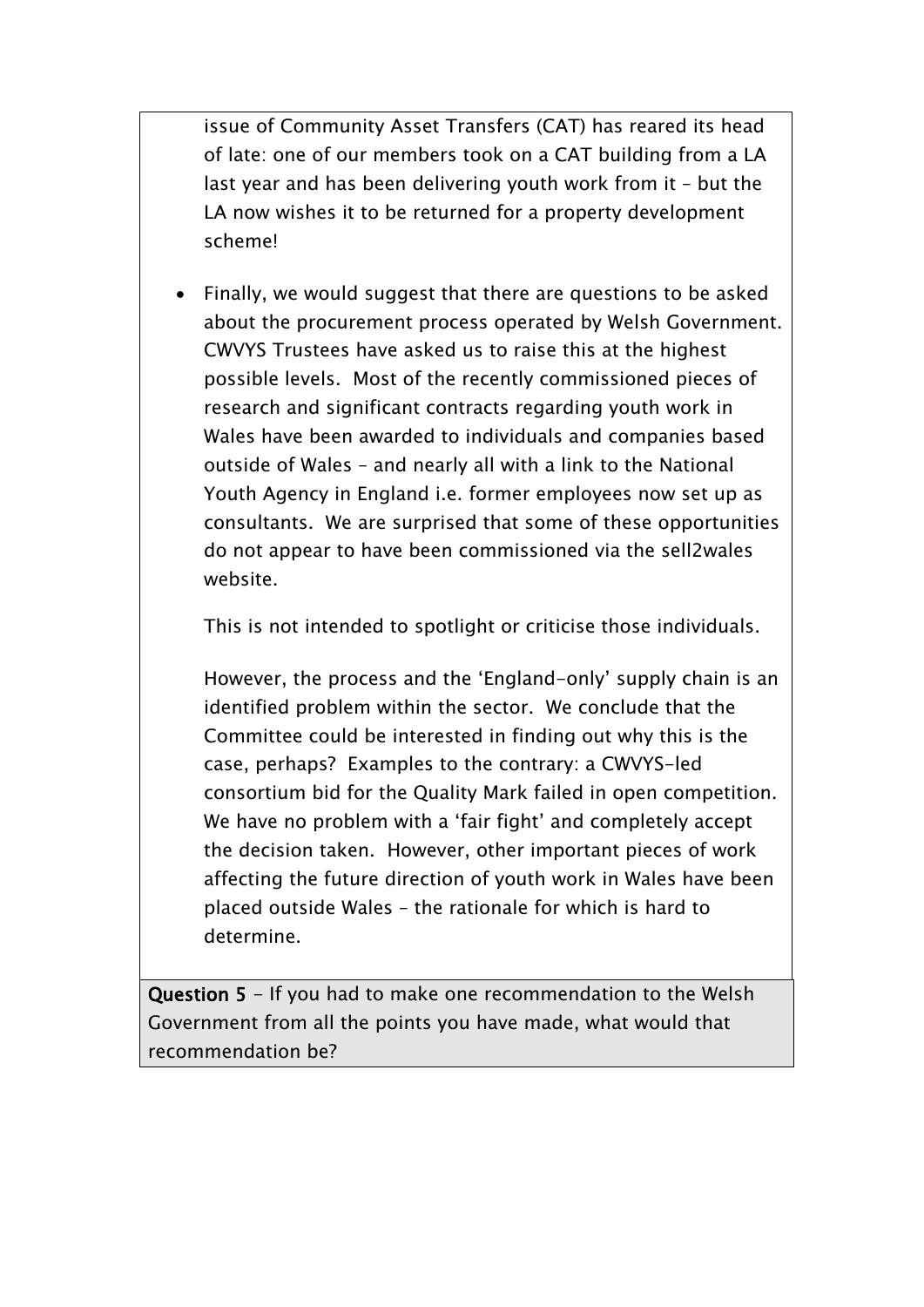issue of Community Asset Transfers (CAT) has reared its head of late: one of our members took on a CAT building from a LA last year and has been delivering youth work from it – but the LA now wishes it to be returned for a property development scheme!

 Finally, we would suggest that there are questions to be asked about the procurement process operated by Welsh Government. CWVYS Trustees have asked us to raise this at the highest possible levels. Most of the recently commissioned pieces of research and significant contracts regarding youth work in Wales have been awarded to individuals and companies based outside of Wales – and nearly all with a link to the National Youth Agency in England i.e. former employees now set up as consultants. We are surprised that some of these opportunities do not appear to have been commissioned via the sell2wales website.

This is not intended to spotlight or criticise those individuals.

However, the process and the 'England-only' supply chain is an identified problem within the sector. We conclude that the Committee could be interested in finding out why this is the case, perhaps? Examples to the contrary: a CWVYS-led consortium bid for the Quality Mark failed in open competition. We have no problem with a 'fair fight' and completely accept the decision taken. However, other important pieces of work affecting the future direction of youth work in Wales have been placed outside Wales – the rationale for which is hard to determine.

**Question 5** - If you had to make one recommendation to the Welsh Government from all the points you have made, what would that recommendation be?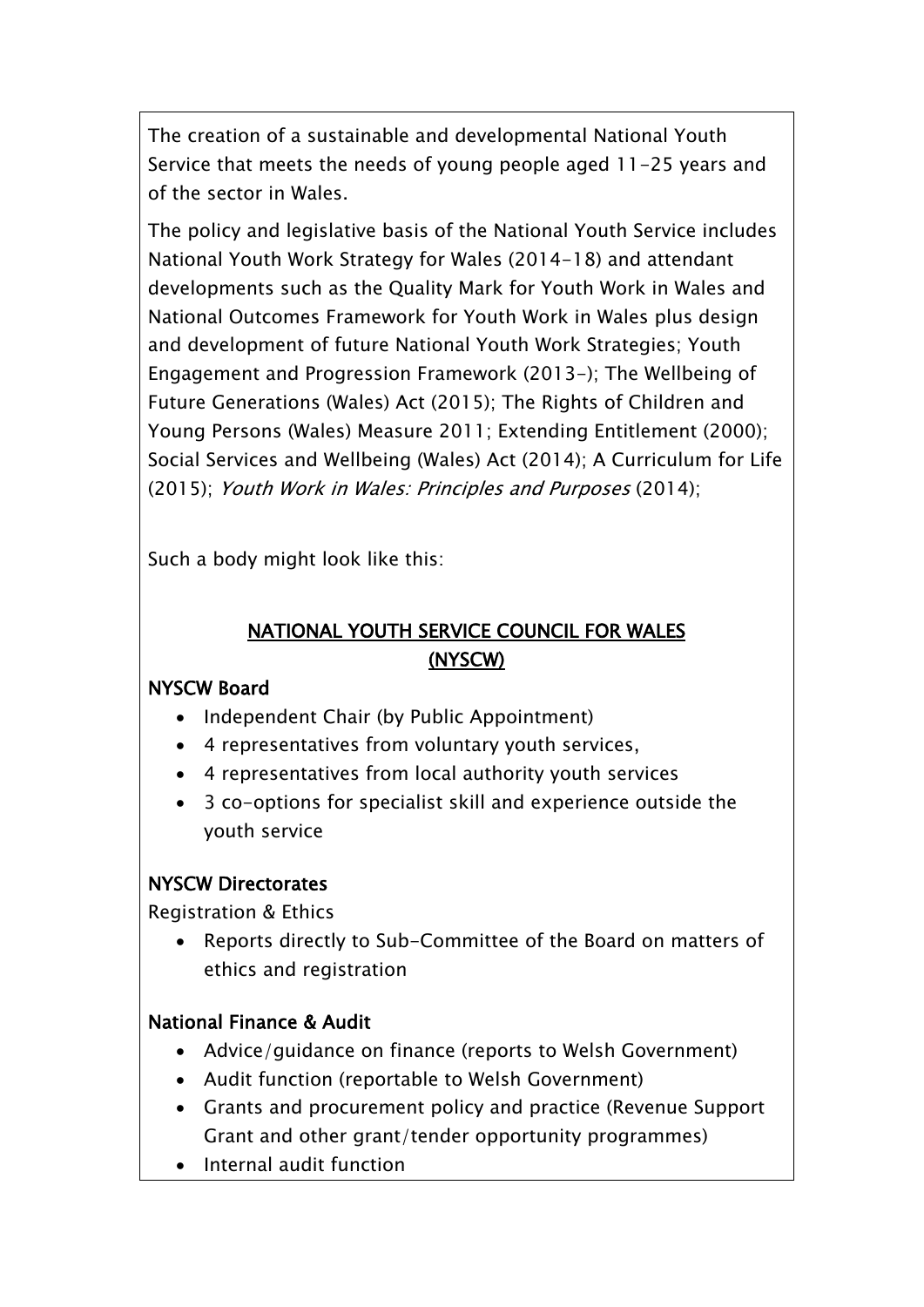The creation of a sustainable and developmental National Youth Service that meets the needs of young people aged 11-25 years and of the sector in Wales.

The policy and legislative basis of the National Youth Service includes National Youth Work Strategy for Wales (2014-18) and attendant developments such as the Quality Mark for Youth Work in Wales and National Outcomes Framework for Youth Work in Wales plus design and development of future National Youth Work Strategies; Youth Engagement and Progression Framework (2013-); The Wellbeing of Future Generations (Wales) Act (2015); The Rights of Children and Young Persons (Wales) Measure 2011; Extending Entitlement (2000); Social Services and Wellbeing (Wales) Act (2014); A Curriculum for Life (2015); *Youth Work in Wales: Principles and Purposes* (2014);

Such a body might look like this:

# **NATIONAL YOUTH SERVICE COUNCIL FOR WALES (NYSCW)**

# **NYSCW Board**

- Independent Chair (by Public Appointment)
- 4 representatives from voluntary youth services,
- 4 representatives from local authority youth services
- 3 co-options for specialist skill and experience outside the youth service

# **NYSCW Directorates**

Registration & Ethics

• Reports directly to Sub-Committee of the Board on matters of ethics and registration

# **National Finance & Audit**

- Advice/guidance on finance (reports to Welsh Government)
- Audit function (reportable to Welsh Government)
- Grants and procurement policy and practice (Revenue Support Grant and other grant/tender opportunity programmes)
- Internal audit function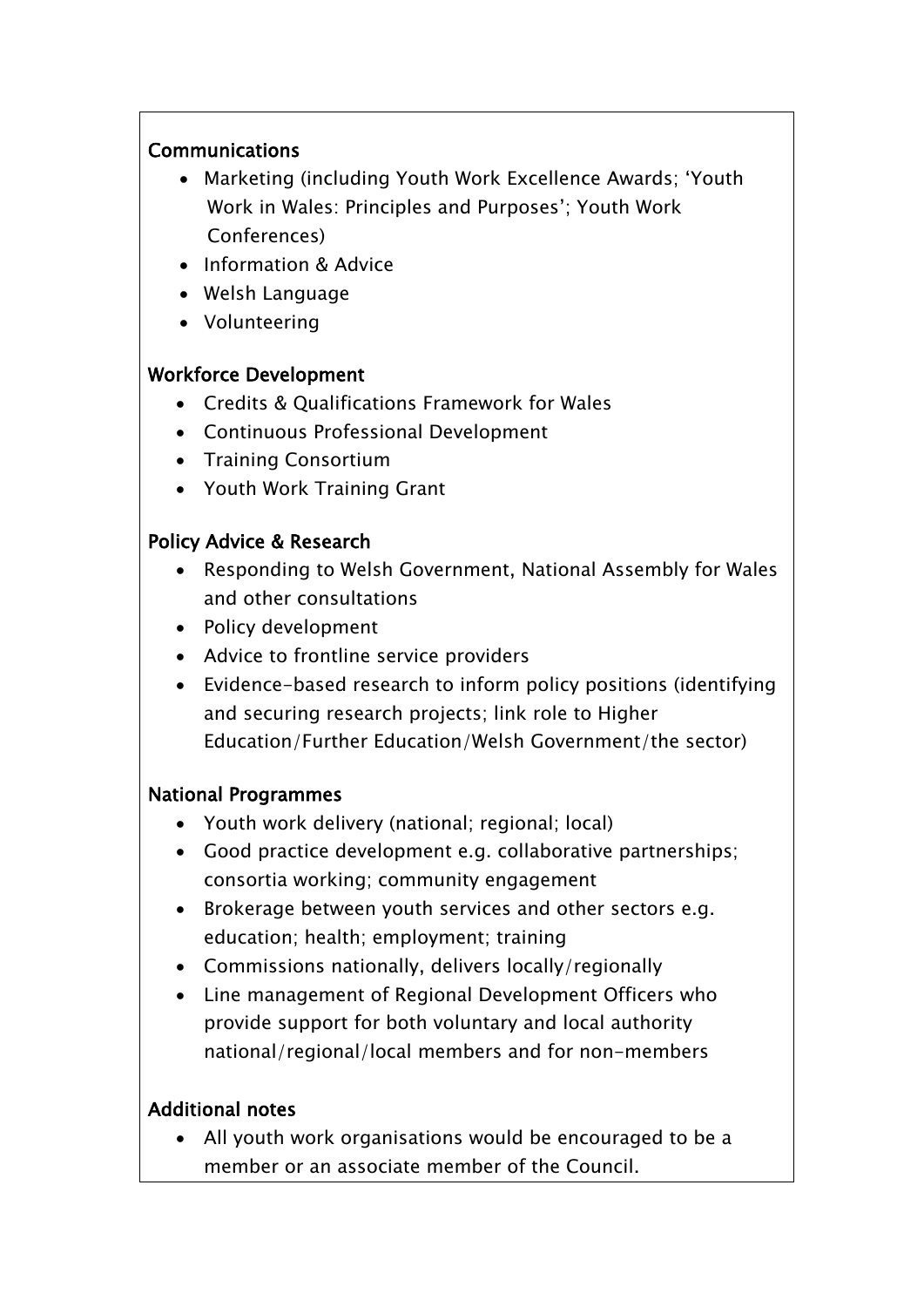#### **Communications**

- Marketing (including Youth Work Excellence Awards; 'Youth Work in Wales: Principles and Purposes'; Youth Work Conferences)
- Information & Advice
- Welsh Language
- Volunteering

### **Workforce Development**

- Credits & Qualifications Framework for Wales
- Continuous Professional Development
- Training Consortium
- Youth Work Training Grant

### **Policy Advice & Research**

- Responding to Welsh Government, National Assembly for Wales and other consultations
- Policy development
- Advice to frontline service providers
- Evidence-based research to inform policy positions (identifying and securing research projects; link role to Higher Education/Further Education/Welsh Government/the sector)

### **National Programmes**

- Youth work delivery (national; regional; local)
- Good practice development e.g. collaborative partnerships; consortia working; community engagement
- Brokerage between youth services and other sectors e.g. education; health; employment; training
- Commissions nationally, delivers locally/regionally
- Line management of Regional Development Officers who provide support for both voluntary and local authority national/regional/local members and for non-members

### **Additional notes**

 All youth work organisations would be encouraged to be a member or an associate member of the Council.